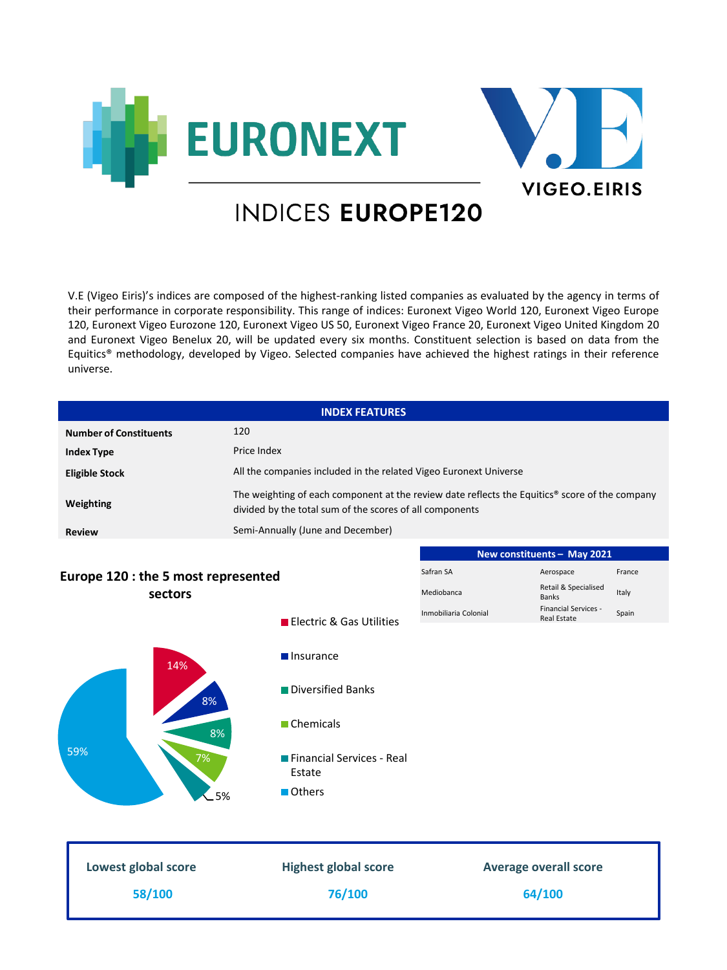



# **INDICES EUROPE120**

V.E (Vigeo Eiris)'s indices are composed of the highest-ranking listed companies as evaluated by the agency in terms of their performance in corporate responsibility. This range of indices: Euronext Vigeo World 120, Euronext Vigeo Europe 120, Euronext Vigeo Eurozone 120, Euronext Vigeo US 50, Euronext Vigeo France 20, Euronext Vigeo United Kingdom 20 and Euronext Vigeo Benelux 20, will be updated every six months. Constituent selection is based on data from the Equitics® methodology, developed by Vigeo. Selected companies have achieved the highest ratings in their reference universe.

|                                     | <b>INDEX FEATURES</b>                                                                                                                                      |                              |                                      |        |
|-------------------------------------|------------------------------------------------------------------------------------------------------------------------------------------------------------|------------------------------|--------------------------------------|--------|
| <b>Number of Constituents</b>       | 120                                                                                                                                                        |                              |                                      |        |
| <b>Index Type</b>                   | Price Index                                                                                                                                                |                              |                                      |        |
| <b>Eligible Stock</b>               | All the companies included in the related Vigeo Euronext Universe                                                                                          |                              |                                      |        |
| Weighting                           | The weighting of each component at the review date reflects the Equitics® score of the company<br>divided by the total sum of the scores of all components |                              |                                      |        |
| <b>Review</b>                       | Semi-Annually (June and December)                                                                                                                          |                              |                                      |        |
|                                     |                                                                                                                                                            |                              | New constituents - May 2021          |        |
| Europe 120 : the 5 most represented |                                                                                                                                                            | Safran SA                    | Aerospace                            | France |
| sectors                             |                                                                                                                                                            | Mediobanca                   | Retail & Specialised<br><b>Banks</b> | Italy  |
|                                     | Electric & Gas Utilities                                                                                                                                   | Inmobiliaria Colonial        | Financial Services -<br>Real Estate  | Spain  |
| 14%<br>8%                           | <b>Insurance</b><br>Diversified Banks                                                                                                                      |                              |                                      |        |
| 8%                                  | Chemicals                                                                                                                                                  |                              |                                      |        |
| 59%<br>7%<br>5%                     | Financial Services - Real<br>Estate<br>Others                                                                                                              |                              |                                      |        |
|                                     |                                                                                                                                                            |                              |                                      |        |
| Lowest global score                 | <b>Highest global score</b>                                                                                                                                | <b>Average overall score</b> |                                      |        |
| 58/100                              | 76/100                                                                                                                                                     |                              | 64/100                               |        |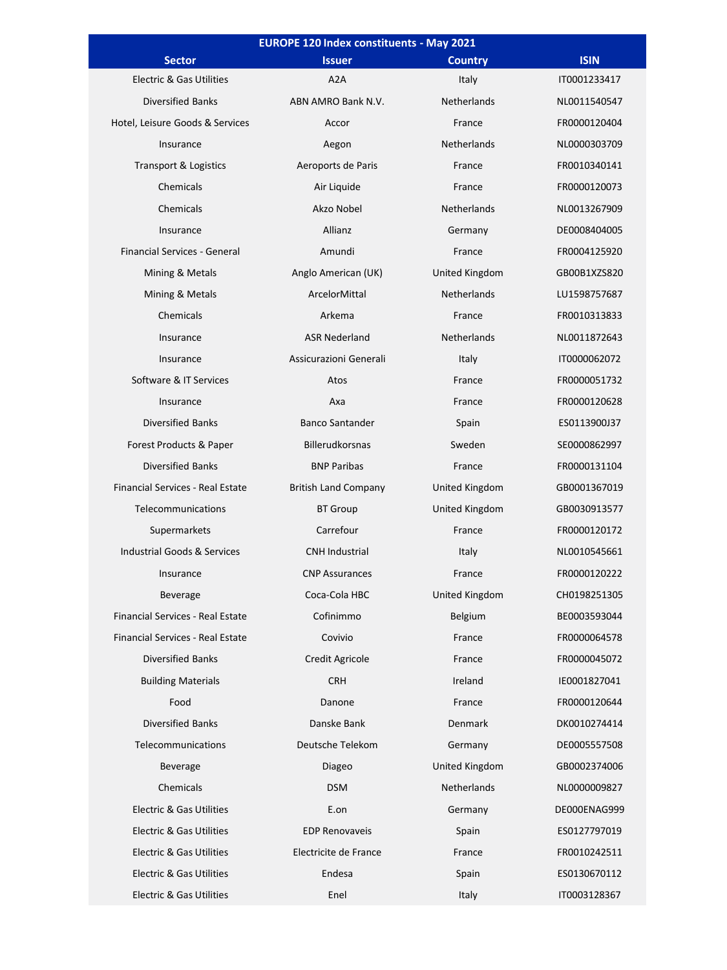| <b>EUROPE 120 Index constituents - May 2021</b> |                             |                    |              |
|-------------------------------------------------|-----------------------------|--------------------|--------------|
| <b>Sector</b>                                   | <b>Issuer</b>               | <b>Country</b>     | <b>ISIN</b>  |
| Electric & Gas Utilities                        | A2A                         | Italy              | IT0001233417 |
| <b>Diversified Banks</b>                        | ABN AMRO Bank N.V.          | Netherlands        | NL0011540547 |
| Hotel, Leisure Goods & Services                 | Accor                       | France             | FR0000120404 |
| Insurance                                       | Aegon                       | Netherlands        | NL0000303709 |
| Transport & Logistics                           | Aeroports de Paris          | France             | FR0010340141 |
| Chemicals                                       | Air Liquide                 | France             | FR0000120073 |
| Chemicals                                       | Akzo Nobel                  | Netherlands        | NL0013267909 |
| Insurance                                       | Allianz                     | Germany            | DE0008404005 |
| <b>Financial Services - General</b>             | Amundi                      | France             | FR0004125920 |
| Mining & Metals                                 | Anglo American (UK)         | United Kingdom     | GB00B1XZS820 |
| Mining & Metals                                 | ArcelorMittal               | <b>Netherlands</b> | LU1598757687 |
| Chemicals                                       | Arkema                      | France             | FR0010313833 |
| Insurance                                       | <b>ASR Nederland</b>        | Netherlands        | NL0011872643 |
| Insurance                                       | Assicurazioni Generali      | Italy              | IT0000062072 |
| Software & IT Services                          | Atos                        | France             | FR0000051732 |
| Insurance                                       | Axa                         | France             | FR0000120628 |
| <b>Diversified Banks</b>                        | <b>Banco Santander</b>      | Spain              | ES0113900J37 |
| Forest Products & Paper                         | <b>Billerudkorsnas</b>      | Sweden             | SE0000862997 |
| <b>Diversified Banks</b>                        | <b>BNP Paribas</b>          | France             | FR0000131104 |
| Financial Services - Real Estate                | <b>British Land Company</b> | United Kingdom     | GB0001367019 |
| Telecommunications                              | <b>BT</b> Group             | United Kingdom     | GB0030913577 |
| Supermarkets                                    | Carrefour                   | France             | FR0000120172 |
| <b>Industrial Goods &amp; Services</b>          | <b>CNH Industrial</b>       | Italy              | NL0010545661 |
| Insurance                                       | <b>CNP Assurances</b>       | France             | FR0000120222 |
| <b>Beverage</b>                                 | Coca-Cola HBC               | United Kingdom     | CH0198251305 |
| Financial Services - Real Estate                | Cofinimmo                   | Belgium            | BE0003593044 |
| Financial Services - Real Estate                | Covivio                     | France             | FR0000064578 |
| <b>Diversified Banks</b>                        | <b>Credit Agricole</b>      | France             | FR0000045072 |
| <b>Building Materials</b>                       | <b>CRH</b>                  | Ireland            | IE0001827041 |
| Food                                            | Danone                      | France             | FR0000120644 |
| <b>Diversified Banks</b>                        | Danske Bank                 | Denmark            | DK0010274414 |
| Telecommunications                              | Deutsche Telekom            | Germany            | DE0005557508 |
| Beverage                                        | Diageo                      | United Kingdom     | GB0002374006 |
| Chemicals                                       | <b>DSM</b>                  | Netherlands        | NL0000009827 |
| Electric & Gas Utilities                        | E.on                        | Germany            | DE000ENAG999 |
| Electric & Gas Utilities                        | <b>EDP Renovaveis</b>       | Spain              | ES0127797019 |
| Electric & Gas Utilities                        | Electricite de France       | France             | FR0010242511 |
| Electric & Gas Utilities                        | Endesa                      | Spain              | ES0130670112 |
| Electric & Gas Utilities                        | Enel                        | Italy              | IT0003128367 |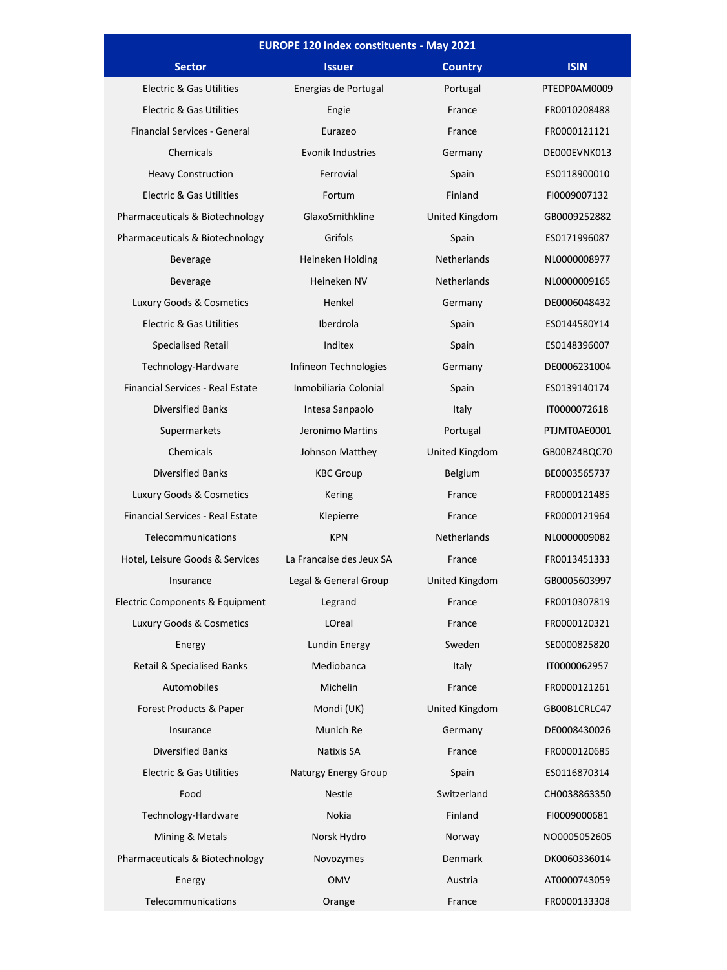| <b>EUROPE 120 Index constituents - May 2021</b> |                          |                |              |
|-------------------------------------------------|--------------------------|----------------|--------------|
| <b>Sector</b>                                   | <b>Issuer</b>            | <b>Country</b> | <b>ISIN</b>  |
| <b>Electric &amp; Gas Utilities</b>             | Energias de Portugal     | Portugal       | PTEDP0AM0009 |
| <b>Electric &amp; Gas Utilities</b>             | Engie                    | France         | FR0010208488 |
| Financial Services - General                    | Eurazeo                  | France         | FR0000121121 |
| Chemicals                                       | <b>Evonik Industries</b> | Germany        | DE000EVNK013 |
| <b>Heavy Construction</b>                       | Ferrovial                | Spain          | ES0118900010 |
| <b>Electric &amp; Gas Utilities</b>             | Fortum                   | Finland        | FI0009007132 |
| Pharmaceuticals & Biotechnology                 | GlaxoSmithkline          | United Kingdom | GB0009252882 |
| Pharmaceuticals & Biotechnology                 | Grifols                  | Spain          | ES0171996087 |
| <b>Beverage</b>                                 | Heineken Holding         | Netherlands    | NL0000008977 |
| <b>Beverage</b>                                 | Heineken NV              | Netherlands    | NL0000009165 |
| Luxury Goods & Cosmetics                        | Henkel                   | Germany        | DE0006048432 |
| <b>Electric &amp; Gas Utilities</b>             | Iberdrola                | Spain          | ES0144580Y14 |
| Specialised Retail                              | Inditex                  | Spain          | ES0148396007 |
| Technology-Hardware                             | Infineon Technologies    | Germany        | DE0006231004 |
| <b>Financial Services - Real Estate</b>         | Inmobiliaria Colonial    | Spain          | ES0139140174 |
| <b>Diversified Banks</b>                        | Intesa Sanpaolo          | Italy          | IT0000072618 |
| Supermarkets                                    | Jeronimo Martins         | Portugal       | PTJMT0AE0001 |
| Chemicals                                       | Johnson Matthey          | United Kingdom | GB00BZ4BQC70 |
| Diversified Banks                               | <b>KBC Group</b>         | Belgium        | BE0003565737 |
| Luxury Goods & Cosmetics                        | Kering                   | France         | FR0000121485 |
| Financial Services - Real Estate                | Klepierre                | France         | FR0000121964 |
| Telecommunications                              | <b>KPN</b>               | Netherlands    | NL0000009082 |
| Hotel, Leisure Goods & Services                 | La Francaise des Jeux SA | France         | FR0013451333 |
| Insurance                                       | Legal & General Group    | United Kingdom | GB0005603997 |
| Electric Components & Equipment                 | Legrand                  | France         | FR0010307819 |
| Luxury Goods & Cosmetics                        | LOreal                   | France         | FR0000120321 |
| Energy                                          | Lundin Energy            | Sweden         | SE0000825820 |
| <b>Retail &amp; Specialised Banks</b>           | Mediobanca               | Italy          | IT0000062957 |
| Automobiles                                     | Michelin                 | France         | FR0000121261 |
| Forest Products & Paper                         | Mondi (UK)               | United Kingdom | GB00B1CRLC47 |
| Insurance                                       | Munich Re                | Germany        | DE0008430026 |
| <b>Diversified Banks</b>                        | Natixis SA               | France         | FR0000120685 |
| <b>Electric &amp; Gas Utilities</b>             | Naturgy Energy Group     | Spain          | ES0116870314 |
| Food                                            | Nestle                   | Switzerland    | CH0038863350 |
| Technology-Hardware                             | <b>Nokia</b>             | Finland        | FI0009000681 |
| Mining & Metals                                 | Norsk Hydro              | Norway         | NO0005052605 |
| Pharmaceuticals & Biotechnology                 | Novozymes                | Denmark        | DK0060336014 |
| Energy                                          | <b>OMV</b>               | Austria        | AT0000743059 |
| Telecommunications                              | Orange                   | France         | FR0000133308 |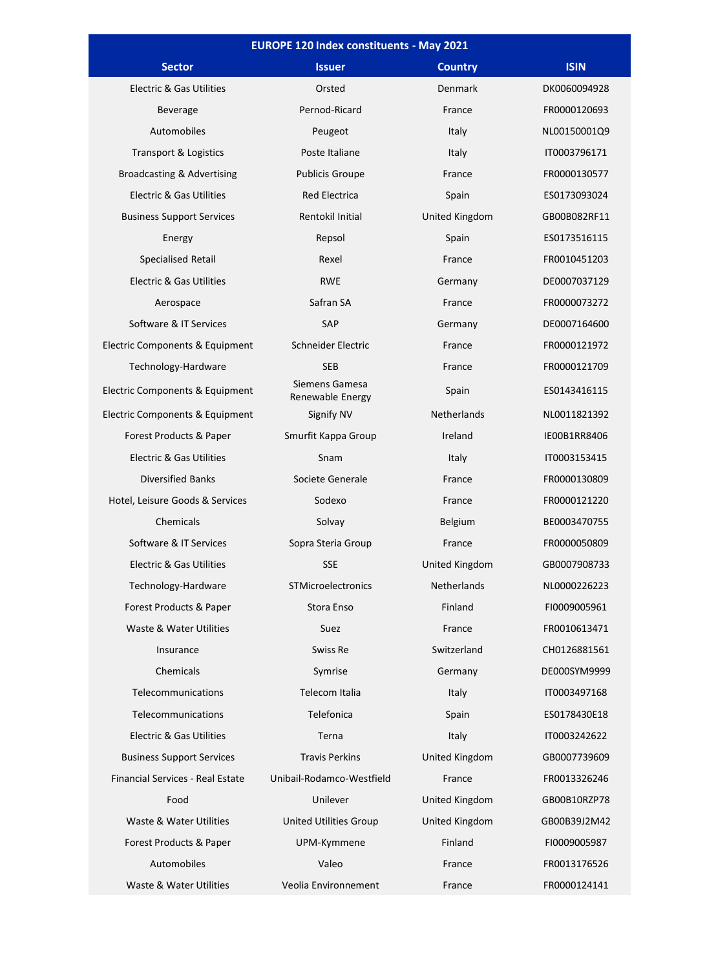| <b>EUROPE 120 Index constituents - May 2021</b> |                                    |                    |              |  |
|-------------------------------------------------|------------------------------------|--------------------|--------------|--|
| <b>Sector</b>                                   | <b>Issuer</b>                      | <b>Country</b>     | <b>ISIN</b>  |  |
| <b>Electric &amp; Gas Utilities</b>             | Orsted                             | <b>Denmark</b>     | DK0060094928 |  |
| Beverage                                        | Pernod-Ricard                      | France             | FR0000120693 |  |
| Automobiles                                     | Peugeot                            | Italy              | NL00150001Q9 |  |
| Transport & Logistics                           | Poste Italiane                     | Italy              | IT0003796171 |  |
| Broadcasting & Advertising                      | <b>Publicis Groupe</b>             | France             | FR0000130577 |  |
| Electric & Gas Utilities                        | <b>Red Electrica</b>               | Spain              | ES0173093024 |  |
| <b>Business Support Services</b>                | Rentokil Initial                   | United Kingdom     | GB00B082RF11 |  |
| Energy                                          | Repsol                             | Spain              | ES0173516115 |  |
| Specialised Retail                              | Rexel                              | France             | FR0010451203 |  |
| Electric & Gas Utilities                        | <b>RWE</b>                         | Germany            | DE0007037129 |  |
| Aerospace                                       | Safran SA                          | France             | FR0000073272 |  |
| Software & IT Services                          | SAP                                | Germany            | DE0007164600 |  |
| Electric Components & Equipment                 | Schneider Electric                 | France             | FR0000121972 |  |
| Technology-Hardware                             | <b>SEB</b>                         | France             | FR0000121709 |  |
| Electric Components & Equipment                 | Siemens Gamesa<br>Renewable Energy | Spain              | ES0143416115 |  |
| Electric Components & Equipment                 | Signify NV                         | <b>Netherlands</b> | NL0011821392 |  |
| Forest Products & Paper                         | Smurfit Kappa Group                | Ireland            | IE00B1RR8406 |  |
| Electric & Gas Utilities                        | Snam                               | Italy              | IT0003153415 |  |
| <b>Diversified Banks</b>                        | Societe Generale                   | France             | FR0000130809 |  |
| Hotel, Leisure Goods & Services                 | Sodexo                             | France             | FR0000121220 |  |
| Chemicals                                       | Solvay                             | <b>Belgium</b>     | BE0003470755 |  |
| Software & IT Services                          | Sopra Steria Group                 | France             | FR0000050809 |  |
| Electric & Gas Utilities                        | <b>SSE</b>                         | United Kingdom     | GB0007908733 |  |
| Technology-Hardware                             | STMicroelectronics                 | <b>Netherlands</b> | NL0000226223 |  |
| Forest Products & Paper                         | Stora Enso                         | Finland            | FI0009005961 |  |
| Waste & Water Utilities                         | Suez                               | France             | FR0010613471 |  |
| Insurance                                       | Swiss Re                           | Switzerland        | CH0126881561 |  |
| Chemicals                                       | Symrise                            | Germany            | DE000SYM9999 |  |
| Telecommunications                              | Telecom Italia                     | Italy              | IT0003497168 |  |
| Telecommunications                              | Telefonica                         | Spain              | ES0178430E18 |  |
| Electric & Gas Utilities                        | Terna                              | Italy              | IT0003242622 |  |
| <b>Business Support Services</b>                | <b>Travis Perkins</b>              | United Kingdom     | GB0007739609 |  |
| Financial Services - Real Estate                | Unibail-Rodamco-Westfield          | France             | FR0013326246 |  |
| Food                                            | Unilever                           | United Kingdom     | GB00B10RZP78 |  |
| Waste & Water Utilities                         | <b>United Utilities Group</b>      | United Kingdom     | GB00B39J2M42 |  |
| Forest Products & Paper                         | UPM-Kymmene                        | Finland            | FI0009005987 |  |
| Automobiles                                     | Valeo                              | France             | FR0013176526 |  |
| Waste & Water Utilities                         | Veolia Environnement               | France             | FR0000124141 |  |